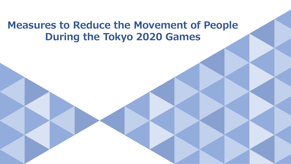# **Measures to Reduce the Movement of People During the Tokyo 2020 Games**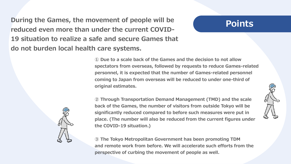**During the Games, the movement of people will be reduced even more than under the current COVID-19 situation to realize a safe and secure Games that do not burden local health care systems.**

## **Points**

**① Due to a scale back of the Games and the decision to not allow spectators from overseas, followed by requests to reduce Games-related personnel, it is expected that the number of Games-related personnel coming to Japan from overseas will be reduced to under one-third of original estimates.**



**③ The Tokyo Metropolitan Government has been promoting TDM and remote work from before. We will accelerate such efforts from the perspective of curbing the movement of people as well.** 



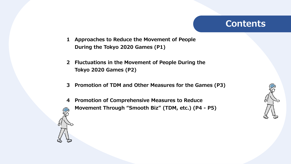## **Contents**

- **1 Approaches to Reduce the Movement of People During the Tokyo 2020 Games (P1)**
- **2 Fluctuations in the Movement of People During the Tokyo 2020 Games (P2)**
- **3 Promotion of TDM and Other Measures for the Games (P3)**
- **4 Promotion of Comprehensive Measures to Reduce Movement Through "Smooth Biz" (TDM, etc.) (P4 - P5)**



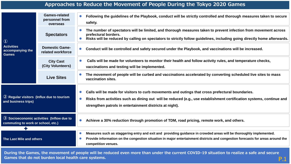#### **Approaches to Reduce the Movement of People During the Tokyo 2020 Games**

| $\bigcirc$<br><b>Activities</b><br>accompanying the<br><b>Games</b>                             | <b>Games-related</b><br>personnel from<br>overseas | Following the guidelines of the Playbook, conduct will be strictly controlled and thorough measures taken to secure<br>$\bullet$<br>safety.                                                                                                                                                        |
|-------------------------------------------------------------------------------------------------|----------------------------------------------------|----------------------------------------------------------------------------------------------------------------------------------------------------------------------------------------------------------------------------------------------------------------------------------------------------|
|                                                                                                 | <b>Spectators</b>                                  | The number of spectators will be limited, and thorough measures taken to prevent infection from movement across<br>prefectural borders.<br>Risks will be reduced by calling on spectators to strictly follow guidelines, including going directly home afterwards.                                 |
|                                                                                                 | <b>Domestic Game-</b><br>related workforce         | Conduct will be controlled and safety secured under the Playbook, and vaccinations will be increased.<br>$\bullet$                                                                                                                                                                                 |
|                                                                                                 | <b>City Cast</b><br>(City Volunteers)              | Calls will be made for volunteers to monitor their health and follow activity rules, and temperature checks,<br>$\bullet$<br>vaccinations and testing will be implemented.                                                                                                                         |
|                                                                                                 | <b>Live Sites</b>                                  | The movement of people will be curbed and vaccinations accelerated by converting scheduled live sites to mass<br>vaccination sites.                                                                                                                                                                |
| 2 Regular visitors (Influx due to tourism<br>and business trips)                                |                                                    | Calls will be made for visitors to curb movements and outings that cross prefectural boundaries.<br>Risks from activities such as dining out will be reduced (e.g., use establishment certification systems, continue and<br>$\bullet$<br>strengthen patrols in entertainment districts at night). |
| $\textcircled{3}$ Socioeconomic activities (Inflow due to<br>commuting to work or school, etc.) |                                                    | Achieve a 30% reduction through promotion of TDM, road pricing, remote work, and others.<br>$\bullet$                                                                                                                                                                                              |
|                                                                                                 |                                                    | Measures such as staggering entry and exit and providing guidance in crowded areas will be thoroughly implemented.                                                                                                                                                                                 |
| The Last Mile and others                                                                        |                                                    | Provide information on the congestion situation in major entertainment districts and congestion forecasts for areas around the<br>competition venues.                                                                                                                                              |

**During the Games, the movement of people will be reduced even more than under the current COVID-19 situation to realize a safe and secure Games that do not burden local health care systems. P.1**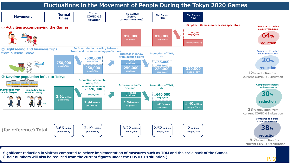

**Significant reduction in visitors compared to before implementation of measures such as TDM and the scale back of the Games. (Their numbers will also be reduced from the current figures under the COVID-19 situation.)**

**P.2**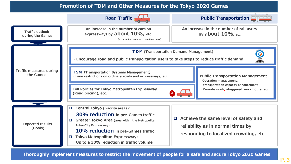#### **Promotion of TDM and Other Measures for the Tokyo 2020 Games**



**Thoroughly implement measures to restrict the movement of people for a safe and secure Tokyo 2020 Games**

**P.3**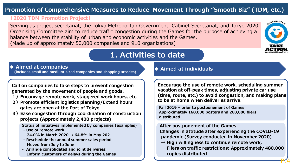### **Promotion of Comprehensive Measures to Reduce Movement Through "Smooth Biz" (TDM, etc.)**

#### **「2020 TDM Promotion Project」**

Serving as project secretariat, the Tokyo Metropolitan Government, Cabinet Secretariat, and Tokyo 2020 Organising Committee aim to reduce traffic congestion during the Games for the purpose of achieving a balance between the stability of urban and economic activities and the Games. (Made up of approximately 50,000 companies and 910 organizations)



**P.4**

### **1. Activities to date**

#### **◆ Aimed at companies**

**(includes small and medium-sized companies and shopping arcades)**

**Call on companies to take steps to prevent congestion generated by the movement of people and goods.**

- **1)Encourage remote work, staggered work hours, etc.**
- **2)Promote efficient logistics planning/Extend hours gates are open at the Port of Tokyo**
- **3)Ease congestion through coordination of construction projects (Approximately 2,400 projects)**

**Status of initiatives implemented by companies (examples)**

- **- Use of remote work 24.0% in March 2020 → 64.8% in May 2021**
- **- Reschedule the annual summer sales period Moved from July to June**
- **Arrange consolidated and joint deliveries: Inform customers of delays during the Games**

#### **◆ Aimed at individuals**

**Encourage the use of remote work, scheduling summer vacation at off-peak times, adjusting private car use (time, route, etc.) to avoid congestion, and making plans to be at home when deliveries arrive.**

**Fall 2019 – prior to postponement of Games Approximately 160,000 posters and 260,000 fliers distributed**

## **After postponement of the Games**

**Changes in attitude after experiencing the COVID-19 pandemic (Survey conducted in November 2020)**

**→ High willingness to continue remote work, Fliers on traffic restrictions: Approximately 480,000 copies distributed**